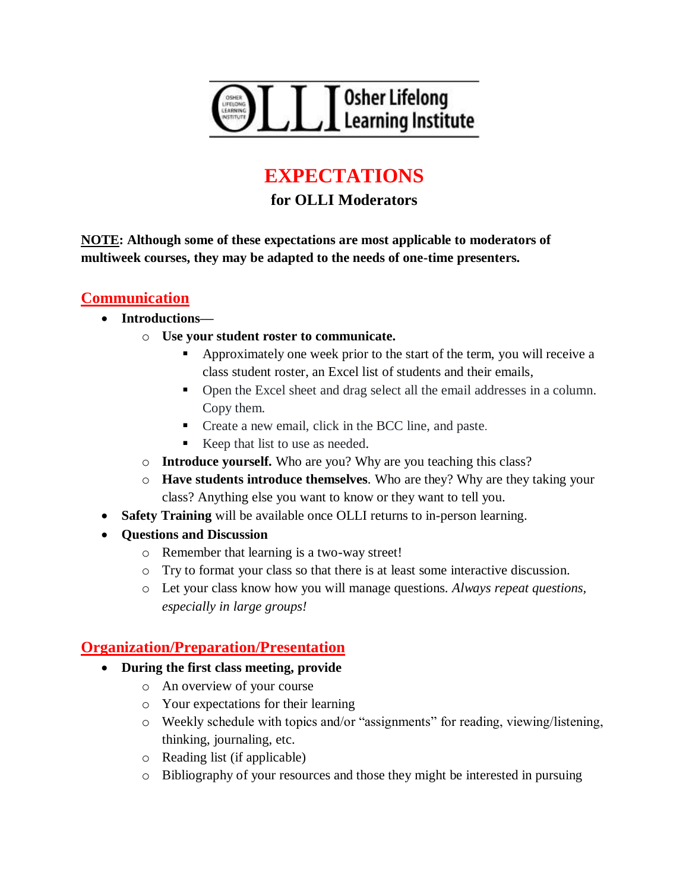

# **EXPECTATIONS**

## **for OLLI Moderators**

**NOTE: Although some of these expectations are most applicable to moderators of multiweek courses, they may be adapted to the needs of one-time presenters.**

#### **Communication**

- **Introductions**
	- o **Use your student roster to communicate.**
		- Approximately one week prior to the start of the term, you will receive a class student roster, an Excel list of students and their emails,
		- Open the Excel sheet and drag select all the email addresses in a column. Copy them.
		- Create a new email, click in the BCC line, and paste.
		- Keep that list to use as needed.
	- o **Introduce yourself.** Who are you? Why are you teaching this class?
	- o **Have students introduce themselves**. Who are they? Why are they taking your class? Anything else you want to know or they want to tell you.
- **Safety Training** will be available once OLLI returns to in-person learning.
- **Questions and Discussion**
	- o Remember that learning is a two-way street!
	- o Try to format your class so that there is at least some interactive discussion.
	- o Let your class know how you will manage questions. *Always repeat questions, especially in large groups!*

#### **Organization/Preparation/Presentation**

- **During the first class meeting, provide**
	- o An overview of your course
	- o Your expectations for their learning
	- o Weekly schedule with topics and/or "assignments" for reading, viewing/listening, thinking, journaling, etc.
	- o Reading list (if applicable)
	- o Bibliography of your resources and those they might be interested in pursuing